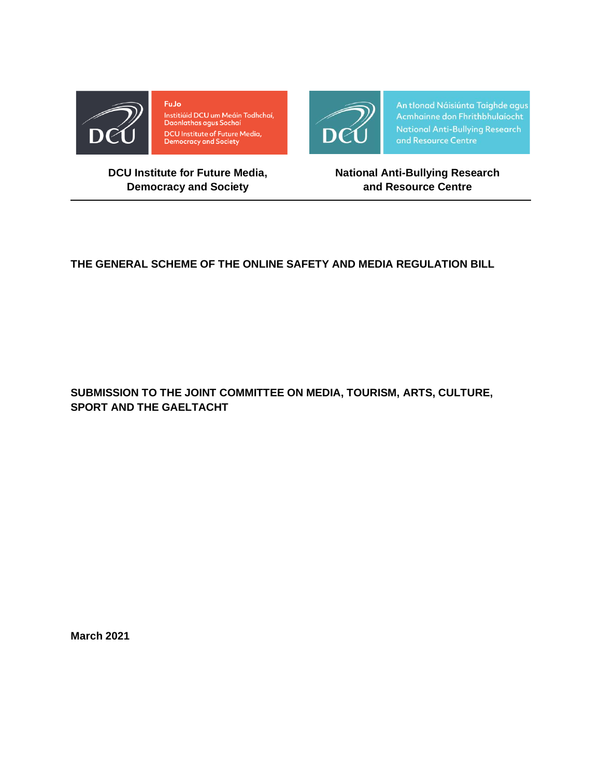

FuJo Institiúid DCU um Meáin Todhchaí,<br>Daonlathas agus Sochaí **DCU Institute of Future Media,<br>Democracy and Society** 



An tIonad Náisiúnta Taighde agus<br>Acmhainne don Fhrithbhulaíocht **National Anti-Bullying Research** and Resource Centre

## **DCU Institute for Future Media, Democracy and Society**

**National Anti-Bullying Research and Resource Centre**

# **THE GENERAL SCHEME OF THE ONLINE SAFETY AND MEDIA REGULATION BILL**

**SUBMISSION TO THE JOINT COMMITTEE ON MEDIA, TOURISM, ARTS, CULTURE, SPORT AND THE GAELTACHT**

**March 2021**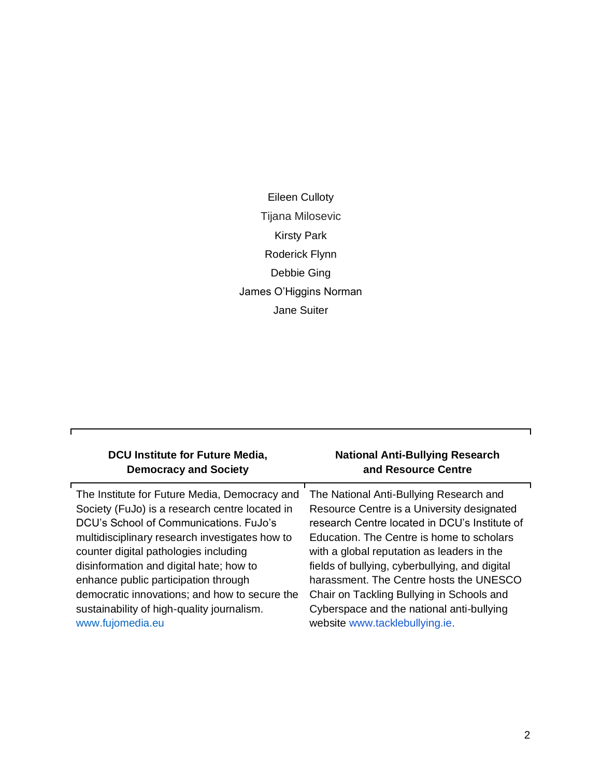Eileen Culloty Tijana Milosevic Kirsty Park Roderick Flynn Debbie Ging James O'Higgins Norman Jane Suiter

| DCU Institute for Future Media,                | <b>National Anti-Bullying Research</b>         |
|------------------------------------------------|------------------------------------------------|
| <b>Democracy and Society</b>                   | and Resource Centre                            |
| The Institute for Future Media, Democracy and  | The National Anti-Bullying Research and        |
| Society (FuJo) is a research centre located in | Resource Centre is a University designated     |
| DCU's School of Communications. FuJo's         | research Centre located in DCU's Institute of  |
| multidisciplinary research investigates how to | Education. The Centre is home to scholars      |
| counter digital pathologies including          | with a global reputation as leaders in the     |
| disinformation and digital hate; how to        | fields of bullying, cyberbullying, and digital |
| enhance public participation through           | harassment. The Centre hosts the UNESCO        |
| democratic innovations; and how to secure the  | Chair on Tackling Bullying in Schools and      |
| sustainability of high-quality journalism.     | Cyberspace and the national anti-bullying      |
| www.fujomedia.eu                               | website www.tacklebullying.ie.                 |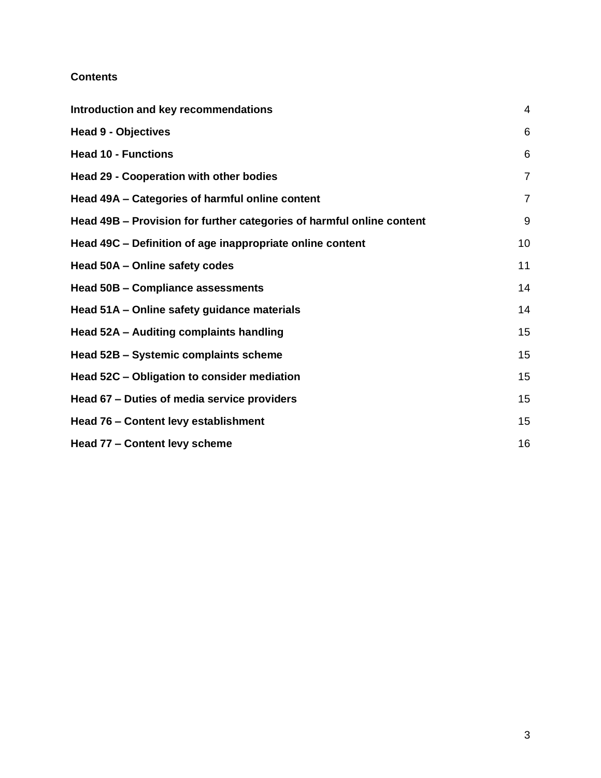#### **Contents**

| Introduction and key recommendations                                  |                |
|-----------------------------------------------------------------------|----------------|
| <b>Head 9 - Objectives</b>                                            | 6              |
| <b>Head 10 - Functions</b>                                            | 6              |
| <b>Head 29 - Cooperation with other bodies</b>                        | $\overline{7}$ |
| Head 49A – Categories of harmful online content                       | $\overline{7}$ |
| Head 49B – Provision for further categories of harmful online content | 9              |
| Head 49C - Definition of age inappropriate online content             | 10             |
| Head 50A - Online safety codes                                        | 11             |
| <b>Head 50B - Compliance assessments</b>                              | 14             |
| Head 51A - Online safety guidance materials                           | 14             |
| Head 52A - Auditing complaints handling                               | 15             |
| Head 52B - Systemic complaints scheme                                 | 15             |
| Head 52C - Obligation to consider mediation                           | 15             |
| Head 67 – Duties of media service providers                           | 15             |
| Head 76 - Content levy establishment                                  | 15             |
| Head 77 - Content levy scheme                                         | 16             |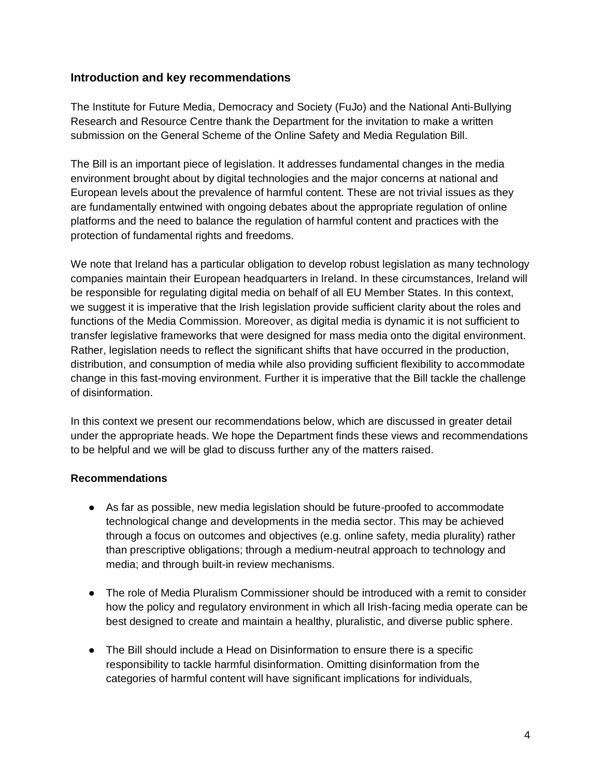#### <span id="page-3-0"></span>**Introduction and key recommendations**

The Institute for Future Media, Democracy and Society (FuJo) and the National Anti-Bullying Research and Resource Centre thank the Department for the invitation to make a written submission on the General Scheme of the Online Safety and Media Regulation Bill.

The Bill is an important piece of legislation. It addresses fundamental changes in the media environment brought about by digital technologies and the major concerns at national and European levels about the prevalence of harmful content. These are not trivial issues as they are fundamentally entwined with ongoing debates about the appropriate regulation of online platforms and the need to balance the regulation of harmful content and practices with the protection of fundamental rights and freedoms.

We note that Ireland has a particular obligation to develop robust legislation as many technology companies maintain their European headquarters in Ireland. In these circumstances, Ireland will be responsible for regulating digital media on behalf of all EU Member States. In this context, we suggest it is imperative that the Irish legislation provide sufficient clarity about the roles and functions of the Media Commission. Moreover, as digital media is dynamic it is not sufficient to transfer legislative frameworks that were designed for mass media onto the digital environment. Rather, legislation needs to reflect the significant shifts that have occurred in the production, distribution, and consumption of media while also providing sufficient flexibility to accommodate change in this fast-moving environment. Further it is imperative that the Bill tackle the challenge of disinformation.

In this context we present our recommendations below, which are discussed in greater detail under the appropriate heads. We hope the Department finds these views and recommendations to be helpful and we will be glad to discuss further any of the matters raised.

#### **Recommendations**

- As far as possible, new media legislation should be future-proofed to accommodate technological change and developments in the media sector. This may be achieved through a focus on outcomes and objectives (e.g. online safety, media plurality) rather than prescriptive obligations; through a medium-neutral approach to technology and media; and through built-in review mechanisms.
- The role of Media Pluralism Commissioner should be introduced with a remit to consider how the policy and regulatory environment in which all Irish-facing media operate can be best designed to create and maintain a healthy, pluralistic, and diverse public sphere.
- The Bill should include a Head on Disinformation to ensure there is a specific responsibility to tackle harmful disinformation. Omitting disinformation from the categories of harmful content will have significant implications for individuals,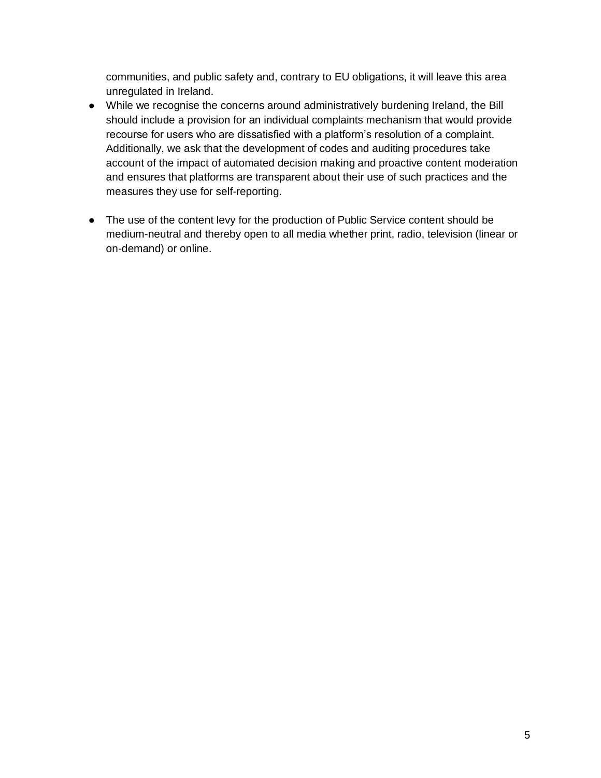communities, and public safety and, contrary to EU obligations, it will leave this area unregulated in Ireland.

- While we recognise the concerns around administratively burdening Ireland, the Bill should include a provision for an individual complaints mechanism that would provide recourse for users who are dissatisfied with a platform's resolution of a complaint. Additionally, we ask that the development of codes and auditing procedures take account of the impact of automated decision making and proactive content moderation and ensures that platforms are transparent about their use of such practices and the measures they use for self-reporting.
- The use of the content levy for the production of Public Service content should be medium-neutral and thereby open to all media whether print, radio, television (linear or on-demand) or online.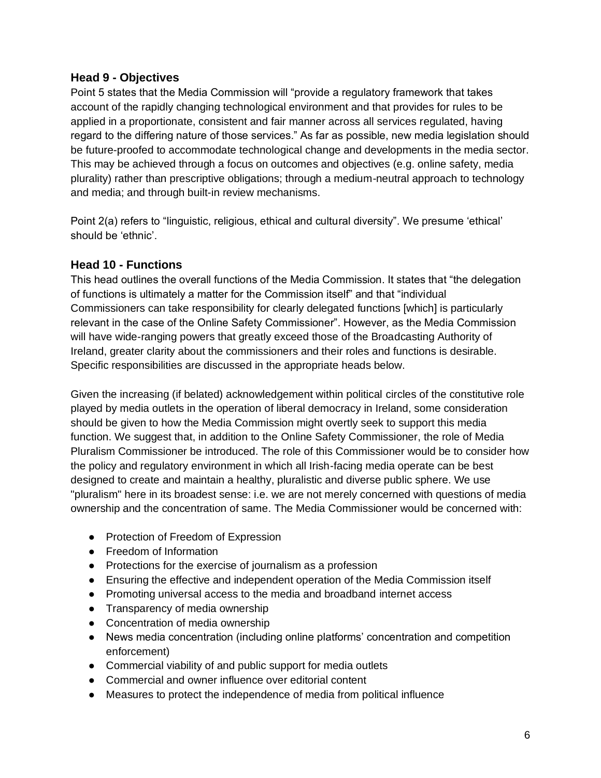### <span id="page-5-0"></span>**Head 9 - Objectives**

Point 5 states that the Media Commission will "provide a regulatory framework that takes account of the rapidly changing technological environment and that provides for rules to be applied in a proportionate, consistent and fair manner across all services regulated, having regard to the differing nature of those services." As far as possible, new media legislation should be future-proofed to accommodate technological change and developments in the media sector. This may be achieved through a focus on outcomes and objectives (e.g. online safety, media plurality) rather than prescriptive obligations; through a medium-neutral approach to technology and media; and through built-in review mechanisms.

Point 2(a) refers to "linguistic, religious, ethical and cultural diversity". We presume 'ethical' should be 'ethnic'.

## <span id="page-5-1"></span>**Head 10 - Functions**

This head outlines the overall functions of the Media Commission. It states that "the delegation of functions is ultimately a matter for the Commission itself" and that "individual Commissioners can take responsibility for clearly delegated functions [which] is particularly relevant in the case of the Online Safety Commissioner". However, as the Media Commission will have wide-ranging powers that greatly exceed those of the Broadcasting Authority of Ireland, greater clarity about the commissioners and their roles and functions is desirable. Specific responsibilities are discussed in the appropriate heads below.

Given the increasing (if belated) acknowledgement within political circles of the constitutive role played by media outlets in the operation of liberal democracy in Ireland, some consideration should be given to how the Media Commission might overtly seek to support this media function. We suggest that, in addition to the Online Safety Commissioner, the role of Media Pluralism Commissioner be introduced. The role of this Commissioner would be to consider how the policy and regulatory environment in which all Irish-facing media operate can be best designed to create and maintain a healthy, pluralistic and diverse public sphere. We use "pluralism" here in its broadest sense: i.e. we are not merely concerned with questions of media ownership and the concentration of same. The Media Commissioner would be concerned with:

- Protection of Freedom of Expression
- Freedom of Information
- Protections for the exercise of journalism as a profession
- Ensuring the effective and independent operation of the Media Commission itself
- Promoting universal access to the media and broadband internet access
- Transparency of media ownership
- Concentration of media ownership
- News media concentration (including online platforms' concentration and competition enforcement)
- Commercial viability of and public support for media outlets
- Commercial and owner influence over editorial content
- Measures to protect the independence of media from political influence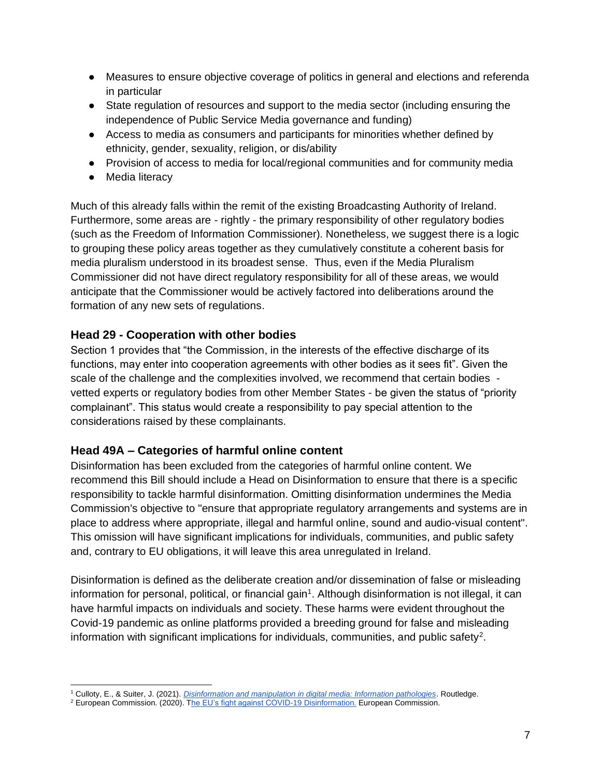- Measures to ensure objective coverage of politics in general and elections and referenda in particular
- State regulation of resources and support to the media sector (including ensuring the independence of Public Service Media governance and funding)
- Access to media as consumers and participants for minorities whether defined by ethnicity, gender, sexuality, religion, or dis/ability
- Provision of access to media for local/regional communities and for community media
- Media literacy

Much of this already falls within the remit of the existing Broadcasting Authority of Ireland. Furthermore, some areas are - rightly - the primary responsibility of other regulatory bodies (such as the Freedom of Information Commissioner). Nonetheless, we suggest there is a logic to grouping these policy areas together as they cumulatively constitute a coherent basis for media pluralism understood in its broadest sense. Thus, even if the Media Pluralism Commissioner did not have direct regulatory responsibility for all of these areas, we would anticipate that the Commissioner would be actively factored into deliberations around the formation of any new sets of regulations.

## <span id="page-6-0"></span>**Head 29 - Cooperation with other bodies**

Section 1 provides that "the Commission, in the interests of the effective discharge of its functions, may enter into cooperation agreements with other bodies as it sees fit". Given the scale of the challenge and the complexities involved, we recommend that certain bodies vetted experts or regulatory bodies from other Member States - be given the status of "priority complainant". This status would create a responsibility to pay special attention to the considerations raised by these complainants.

## <span id="page-6-1"></span>**Head 49A – Categories of harmful online content**

Disinformation has been excluded from the categories of harmful online content. We recommend this Bill should include a Head on Disinformation to ensure that there is a specific responsibility to tackle harmful disinformation. Omitting disinformation undermines the Media Commission's objective to "ensure that appropriate regulatory arrangements and systems are in place to address where appropriate, illegal and harmful online, sound and audio-visual content". This omission will have significant implications for individuals, communities, and public safety and, contrary to EU obligations, it will leave this area unregulated in Ireland.

Disinformation is defined as the deliberate creation and/or dissemination of false or misleading information for personal, political, or financial gain<sup>1</sup>. Although disinformation is not illegal, it can have harmful impacts on individuals and society. These harms were evident throughout the Covid-19 pandemic as online platforms provided a breeding ground for false and misleading information with significant implications for individuals, communities, and public safety<sup>2</sup>.

<sup>1</sup> Culloty, E., & Suiter, J. (2021). *[Disinformation and manipulation in digital media: Information pathologies](https://www.routledge.com/Disinformation-and-Manipulation-in-Digital-Media-Information-Pathologies/Culloty-Suiter/p/book/9780367515270)*. Routledge.

<sup>&</sup>lt;sup>2</sup> European Commission. (2020). [The EU's fight against COVID-19 Disinformation.](https://ec.europa.eu/digital-single-market/en/news/communication-eus-fight-against-covid-19-disinformation) European Commission.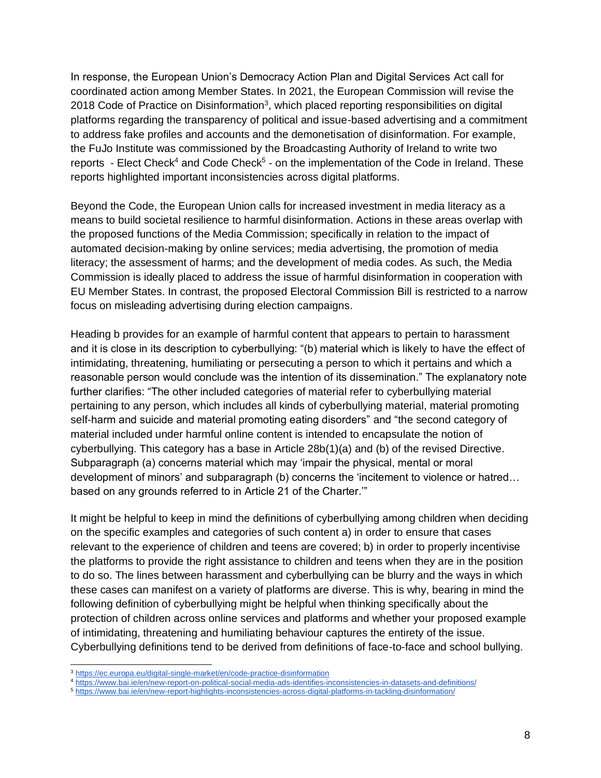In response, the European Union's Democracy Action Plan and Digital Services Act call for coordinated action among Member States. In 2021, the European Commission will revise the 2018 Code of Practice on Disinformation<sup>3</sup>, which placed reporting responsibilities on digital platforms regarding the transparency of political and issue-based advertising and a commitment to address fake profiles and accounts and the demonetisation of disinformation. For example, the FuJo Institute was commissioned by the Broadcasting Authority of Ireland to write two reports - Elect Check<sup>4</sup> and Code Check<sup>5</sup> - on the implementation of the Code in Ireland. These reports highlighted important inconsistencies across digital platforms.

Beyond the Code, the European Union calls for increased investment in media literacy as a means to build societal resilience to harmful disinformation. Actions in these areas overlap with the proposed functions of the Media Commission; specifically in relation to the impact of automated decision-making by online services; media advertising, the promotion of media literacy; the assessment of harms; and the development of media codes. As such, the Media Commission is ideally placed to address the issue of harmful disinformation in cooperation with EU Member States. In contrast, the proposed Electoral Commission Bill is restricted to a narrow focus on misleading advertising during election campaigns.

Heading b provides for an example of harmful content that appears to pertain to harassment and it is close in its description to cyberbullying: "(b) material which is likely to have the effect of intimidating, threatening, humiliating or persecuting a person to which it pertains and which a reasonable person would conclude was the intention of its dissemination." The explanatory note further clarifies: "The other included categories of material refer to cyberbullying material pertaining to any person, which includes all kinds of cyberbullying material, material promoting self-harm and suicide and material promoting eating disorders" and "the second category of material included under harmful online content is intended to encapsulate the notion of cyberbullying. This category has a base in Article 28b(1)(a) and (b) of the revised Directive. Subparagraph (a) concerns material which may 'impair the physical, mental or moral development of minors' and subparagraph (b) concerns the 'incitement to violence or hatred… based on any grounds referred to in Article 21 of the Charter.'"

It might be helpful to keep in mind the definitions of cyberbullying among children when deciding on the specific examples and categories of such content a) in order to ensure that cases relevant to the experience of children and teens are covered; b) in order to properly incentivise the platforms to provide the right assistance to children and teens when they are in the position to do so. The lines between harassment and cyberbullying can be blurry and the ways in which these cases can manifest on a variety of platforms are diverse. This is why, bearing in mind the following definition of cyberbullying might be helpful when thinking specifically about the protection of children across online services and platforms and whether your proposed example of intimidating, threatening and humiliating behaviour captures the entirety of the issue. Cyberbullying definitions tend to be derived from definitions of face-to-face and school bullying.

<sup>3</sup> <https://ec.europa.eu/digital-single-market/en/code-practice-disinformation>

<sup>4</sup> <https://www.bai.ie/en/new-report-on-political-social-media-ads-identifies-inconsistencies-in-datasets-and-definitions/>

<sup>5</sup> <https://www.bai.ie/en/new-report-highlights-inconsistencies-across-digital-platforms-in-tackling-disinformation/>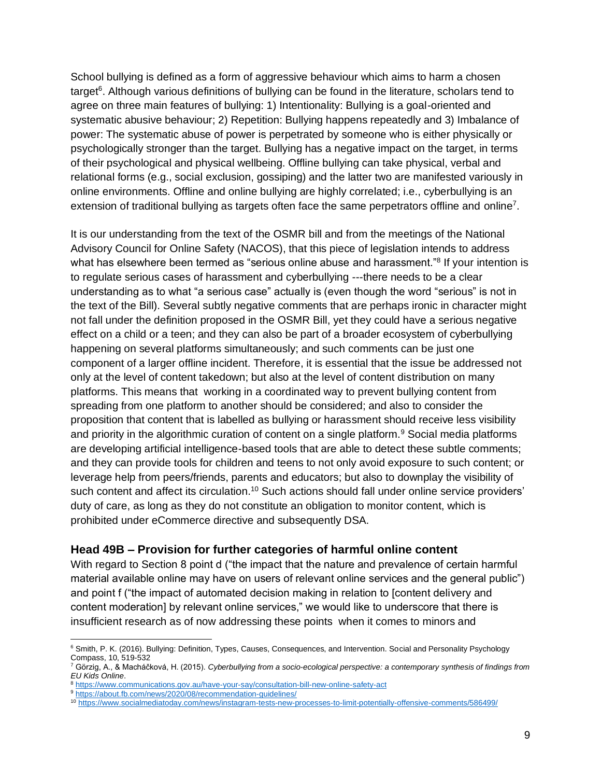School bullying is defined as a form of aggressive behaviour which aims to harm a chosen target<sup>6</sup>. Although various definitions of bullying can be found in the literature, scholars tend to agree on three main features of bullying: 1) Intentionality: Bullying is a goal-oriented and systematic abusive behaviour; 2) Repetition: Bullying happens repeatedly and 3) Imbalance of power: The systematic abuse of power is perpetrated by someone who is either physically or psychologically stronger than the target. Bullying has a negative impact on the target, in terms of their psychological and physical wellbeing. Offline bullying can take physical, verbal and relational forms (e.g., social exclusion, gossiping) and the latter two are manifested variously in online environments. Offline and online bullying are highly correlated; i.e., cyberbullying is an extension of traditional bullying as targets often face the same perpetrators offline and online<sup>7</sup>.

It is our understanding from the text of the OSMR bill and from the meetings of the National Advisory Council for Online Safety (NACOS), that this piece of legislation intends to address what has elsewhere been termed as "serious online abuse and harassment."<sup>8</sup> If your intention is to regulate serious cases of harassment and cyberbullying ---there needs to be a clear understanding as to what "a serious case" actually is (even though the word "serious" is not in the text of the Bill). Several subtly negative comments that are perhaps ironic in character might not fall under the definition proposed in the OSMR Bill, yet they could have a serious negative effect on a child or a teen; and they can also be part of a broader ecosystem of cyberbullying happening on several platforms simultaneously; and such comments can be just one component of a larger offline incident. Therefore, it is essential that the issue be addressed not only at the level of content takedown; but also at the level of content distribution on many platforms. This means that working in a coordinated way to prevent bullying content from spreading from one platform to another should be considered; and also to consider the proposition that content that is labelled as bullying or harassment should receive less visibility and priority in the algorithmic curation of content on a single platform.<sup>9</sup> Social media platforms are developing artificial intelligence-based tools that are able to detect these subtle comments; and they can provide tools for children and teens to not only avoid exposure to such content; or leverage help from peers/friends, parents and educators; but also to downplay the visibility of such content and affect its circulation.<sup>10</sup> Such actions should fall under online service providers' duty of care, as long as they do not constitute an obligation to monitor content, which is prohibited under eCommerce directive and subsequently DSA.

#### <span id="page-8-0"></span>**Head 49B – Provision for further categories of harmful online content**

With regard to Section 8 point d ("the impact that the nature and prevalence of certain harmful material available online may have on users of relevant online services and the general public") and point f ("the impact of automated decision making in relation to [content delivery and content moderation] by relevant online services," we would like to underscore that there is insufficient research as of now addressing these points when it comes to minors and

<sup>&</sup>lt;sup>6</sup> Smith, P. K. (2016). Bullying: Definition, Types, Causes, Consequences, and Intervention. Social and Personality Psychology Compass, 10, 519-532

<sup>7</sup> Görzig, A., & Macháčková, H. (2015). *Cyberbullying from a socio-ecological perspective: a contemporary synthesis of findings from EU Kids Online*.

<sup>8</sup> <https://www.communications.gov.au/have-your-say/consultation-bill-new-online-safety-act>

<sup>&</sup>lt;sup>9</sup> <https://about.fb.com/news/2020/08/recommendation-guidelines/>

<sup>10</sup> <https://www.socialmediatoday.com/news/instagram-tests-new-processes-to-limit-potentially-offensive-comments/586499/>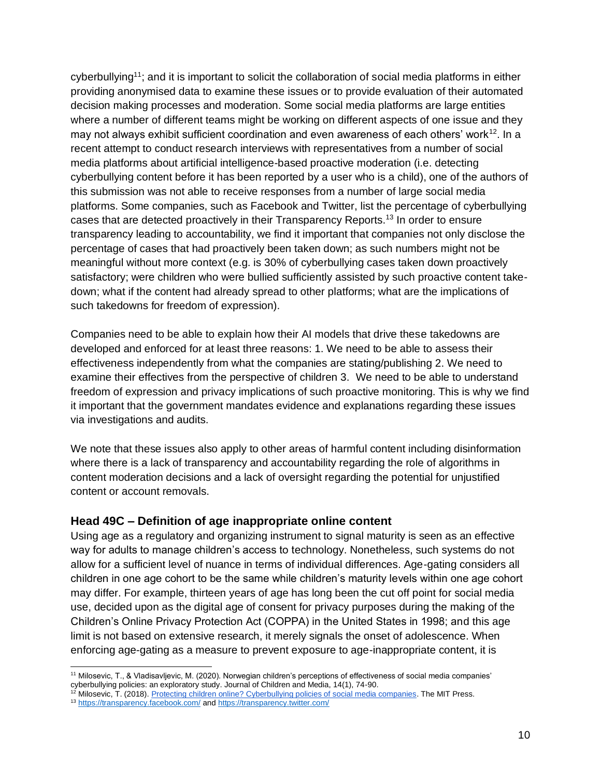cyberbullying<sup>11</sup>; and it is important to solicit the collaboration of social media platforms in either providing anonymised data to examine these issues or to provide evaluation of their automated decision making processes and moderation. Some social media platforms are large entities where a number of different teams might be working on different aspects of one issue and they may not always exhibit sufficient coordination and even awareness of each others' work $12$ . In a recent attempt to conduct research interviews with representatives from a number of social media platforms about artificial intelligence-based proactive moderation (i.e. detecting cyberbullying content before it has been reported by a user who is a child), one of the authors of this submission was not able to receive responses from a number of large social media platforms. Some companies, such as Facebook and Twitter, list the percentage of cyberbullying cases that are detected proactively in their Transparency Reports.<sup>13</sup> In order to ensure transparency leading to accountability, we find it important that companies not only disclose the percentage of cases that had proactively been taken down; as such numbers might not be meaningful without more context (e.g. is 30% of cyberbullying cases taken down proactively satisfactory; were children who were bullied sufficiently assisted by such proactive content takedown; what if the content had already spread to other platforms; what are the implications of such takedowns for freedom of expression).

Companies need to be able to explain how their AI models that drive these takedowns are developed and enforced for at least three reasons: 1. We need to be able to assess their effectiveness independently from what the companies are stating/publishing 2. We need to examine their effectives from the perspective of children 3. We need to be able to understand freedom of expression and privacy implications of such proactive monitoring. This is why we find it important that the government mandates evidence and explanations regarding these issues via investigations and audits.

We note that these issues also apply to other areas of harmful content including disinformation where there is a lack of transparency and accountability regarding the role of algorithms in content moderation decisions and a lack of oversight regarding the potential for unjustified content or account removals.

#### <span id="page-9-0"></span>**Head 49C – Definition of age inappropriate online content**

Using age as a regulatory and organizing instrument to signal maturity is seen as an effective way for adults to manage children's access to technology. Nonetheless, such systems do not allow for a sufficient level of nuance in terms of individual differences. Age-gating considers all children in one age cohort to be the same while children's maturity levels within one age cohort may differ. For example, thirteen years of age has long been the cut off point for social media use, decided upon as the digital age of consent for privacy purposes during the making of the Children's Online Privacy Protection Act (COPPA) in the United States in 1998; and this age limit is not based on extensive research, it merely signals the onset of adolescence. When enforcing age-gating as a measure to prevent exposure to age-inappropriate content, it is

<sup>11</sup> Milosevic, T., & Vladisavljevic, M. (2020). Norwegian children's perceptions of effectiveness of social media companies' cyberbullying policies: an exploratory study. Journal of Children and Media, 14(1), 74-90.

<sup>&</sup>lt;sup>12</sup> Milosevic, T. (2018). [Protecting children online? Cyberbullying policies of social media companies.](https://mitpress.mit.edu/books/protecting-children-online) The MIT Press.

<sup>13</sup> <https://transparency.facebook.com/> an[d https://transparency.twitter.com/](https://transparency.twitter.com/)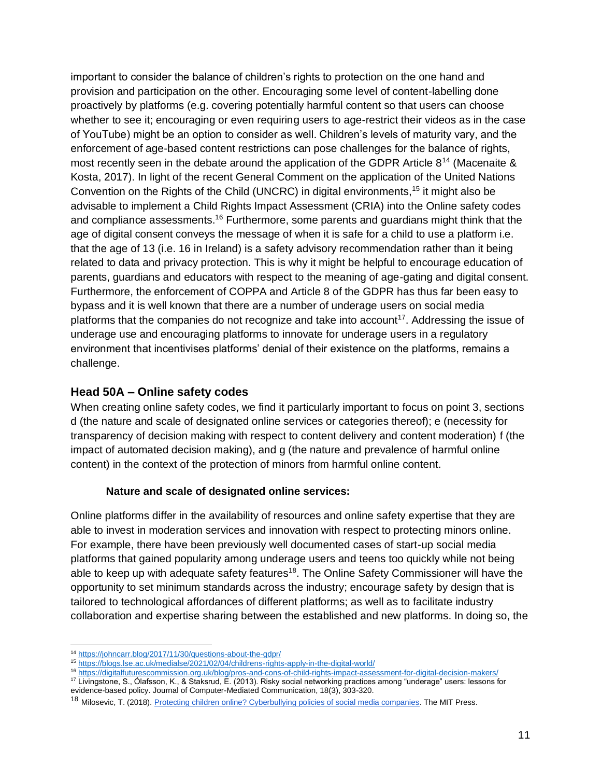important to consider the balance of children's rights to protection on the one hand and provision and participation on the other. Encouraging some level of content-labelling done proactively by platforms (e.g. covering potentially harmful content so that users can choose whether to see it; encouraging or even requiring users to age-restrict their videos as in the case of YouTube) might be an option to consider as well. Children's levels of maturity vary, and the enforcement of age-based content restrictions can pose challenges for the balance of rights, most recently seen in the debate around the application of the GDPR Article  $8^{14}$  (Macenaite  $\&$ Kosta, 2017). In light of the recent General Comment on the application of the United Nations Convention on the Rights of the Child (UNCRC) in digital environments,<sup>15</sup> it might also be advisable to implement a Child Rights Impact Assessment (CRIA) into the Online safety codes and compliance assessments.<sup>16</sup> Furthermore, some parents and guardians might think that the age of digital consent conveys the message of when it is safe for a child to use a platform i.e. that the age of 13 (i.e. 16 in Ireland) is a safety advisory recommendation rather than it being related to data and privacy protection. This is why it might be helpful to encourage education of parents, guardians and educators with respect to the meaning of age-gating and digital consent. Furthermore, the enforcement of COPPA and Article 8 of the GDPR has thus far been easy to bypass and it is well known that there are a number of underage users on social media platforms that the companies do not recognize and take into account<sup>17</sup>. Addressing the issue of underage use and encouraging platforms to innovate for underage users in a regulatory environment that incentivises platforms' denial of their existence on the platforms, remains a challenge.

#### <span id="page-10-0"></span>**Head 50A – Online safety codes**

When creating online safety codes, we find it particularly important to focus on point 3, sections d (the nature and scale of designated online services or categories thereof); e (necessity for transparency of decision making with respect to content delivery and content moderation) f (the impact of automated decision making), and g (the nature and prevalence of harmful online content) in the context of the protection of minors from harmful online content.

#### **Nature and scale of designated online services:**

Online platforms differ in the availability of resources and online safety expertise that they are able to invest in moderation services and innovation with respect to protecting minors online. For example, there have been previously well documented cases of start-up social media platforms that gained popularity among underage users and teens too quickly while not being able to keep up with adequate safety features<sup>18</sup>. The Online Safety Commissioner will have the opportunity to set minimum standards across the industry; encourage safety by design that is tailored to technological affordances of different platforms; as well as to facilitate industry collaboration and expertise sharing between the established and new platforms. In doing so, the

<sup>14</sup> <https://johncarr.blog/2017/11/30/questions-about-the-gdpr/>

<sup>15</sup> <https://blogs.lse.ac.uk/medialse/2021/02/04/childrens-rights-apply-in-the-digital-world/>

<sup>16</sup> <https://digitalfuturescommission.org.uk/blog/pros-and-cons-of-child-rights-impact-assessment-for-digital-decision-makers/>

<sup>17</sup> Livingstone, S., Ólafsson, K., & Staksrud, E. (2013). Risky social networking practices among "underage" users: lessons for evidence-based policy. Journal of Computer-Mediated Communication, 18(3), 303-320.

<sup>&</sup>lt;sup>18</sup> Milosevic, T. (2018). [Protecting children online? Cyberbullying policies of social media companies.](https://mitpress.mit.edu/books/protecting-children-online) The MIT Press.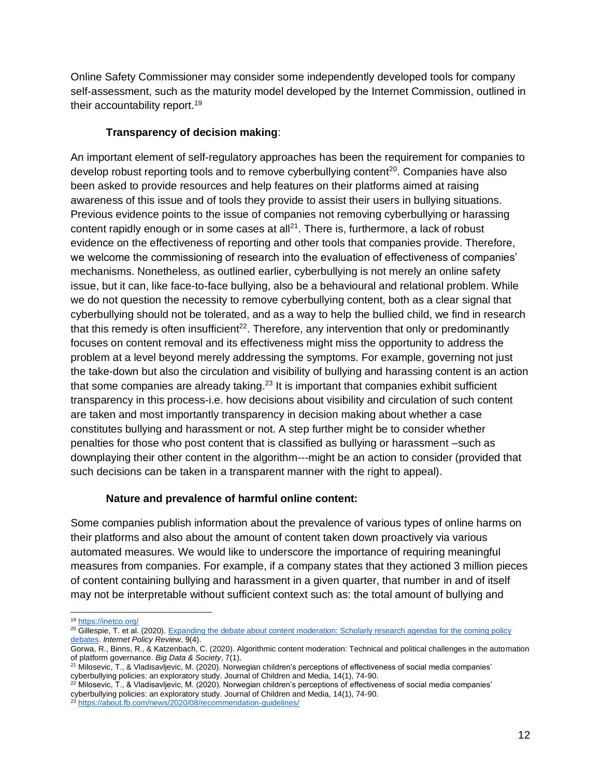Online Safety Commissioner may consider some independently developed tools for company self-assessment, such as the maturity model developed by the Internet Commission, outlined in their accountability report.<sup>19</sup>

#### **Transparency of decision making**:

An important element of self-regulatory approaches has been the requirement for companies to develop robust reporting tools and to remove cyberbullying content<sup>20</sup>. Companies have also been asked to provide resources and help features on their platforms aimed at raising awareness of this issue and of tools they provide to assist their users in bullying situations. Previous evidence points to the issue of companies not removing cyberbullying or harassing content rapidly enough or in some cases at all $^{21}$ . There is, furthermore, a lack of robust evidence on the effectiveness of reporting and other tools that companies provide. Therefore, we welcome the commissioning of research into the evaluation of effectiveness of companies' mechanisms. Nonetheless, as outlined earlier, cyberbullying is not merely an online safety issue, but it can, like face-to-face bullying, also be a behavioural and relational problem. While we do not question the necessity to remove cyberbullying content, both as a clear signal that cyberbullying should not be tolerated, and as a way to help the bullied child, we find in research that this remedy is often insufficient<sup>22</sup>. Therefore, any intervention that only or predominantly focuses on content removal and its effectiveness might miss the opportunity to address the problem at a level beyond merely addressing the symptoms. For example, governing not just the take-down but also the circulation and visibility of bullying and harassing content is an action that some companies are already taking.<sup>23</sup> It is important that companies exhibit sufficient transparency in this process-i.e. how decisions about visibility and circulation of such content are taken and most importantly transparency in decision making about whether a case constitutes bullying and harassment or not. A step further might be to consider whether penalties for those who post content that is classified as bullying or harassment –such as downplaying their other content in the algorithm---might be an action to consider (provided that such decisions can be taken in a transparent manner with the right to appeal).

#### **Nature and prevalence of harmful online content:**

Some companies publish information about the prevalence of various types of online harms on their platforms and also about the amount of content taken down proactively via various automated measures. We would like to underscore the importance of requiring meaningful measures from companies. For example, if a company states that they actioned 3 million pieces of content containing bullying and harassment in a given quarter, that number in and of itself may not be interpretable without sufficient context such as: the total amount of bullying and

<sup>19</sup> <https://inetco.org/>

<sup>&</sup>lt;sup>20</sup> Gillespie, T. et al. (2020). Expanding the debate about content moderation: Scholarly research agendas for the coming policy [debates.](https://policyreview.info/articles/analysis/expanding-debate-about-content-moderation-scholarly-research-agendas-coming-policy) *Internet Policy Review*, 9(4).

Gorwa, R., Binns, R., & Katzenbach, C. (2020). Algorithmic content moderation: Technical and political challenges in the automation of platform governance. *Big Data & Society*, 7(1).

<sup>&</sup>lt;sup>21</sup> Milosevic, T., & Vladisavljevic, M. (2020). Norwegian children's perceptions of effectiveness of social media companies' cyberbullying policies: an exploratory study. Journal of Children and Media, 14(1), 74-90.

 $^{22}$  Milosevic, T., & Vladisavljevic, M. (2020). Norwegian children's perceptions of effectiveness of social media companies' cyberbullying policies: an exploratory study. Journal of Children and Media, 14(1), 74-90.

<sup>&</sup>lt;sup>23</sup> <https://about.fb.com/news/2020/08/recommendation-guidelines/>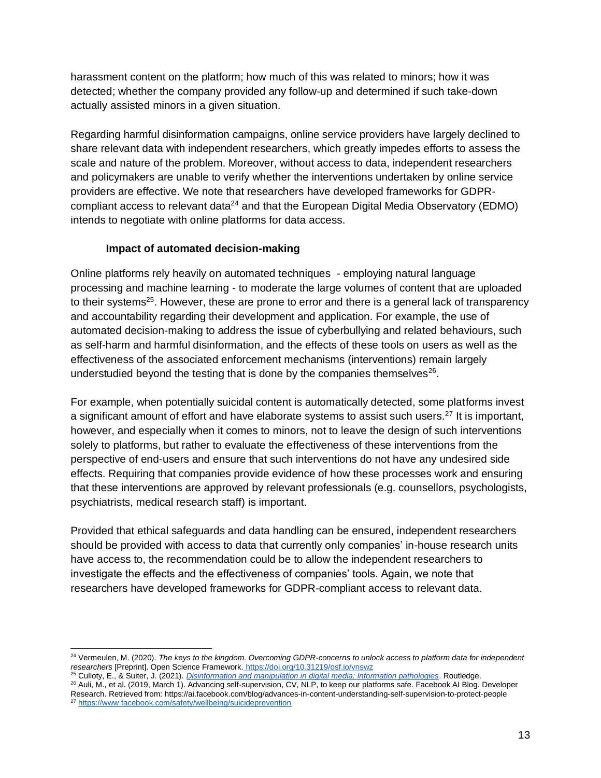harassment content on the platform; how much of this was related to minors; how it was detected; whether the company provided any follow-up and determined if such take-down actually assisted minors in a given situation.

Regarding harmful disinformation campaigns, online service providers have largely declined to share relevant data with independent researchers, which greatly impedes efforts to assess the scale and nature of the problem. Moreover, without access to data, independent researchers and policymakers are unable to verify whether the interventions undertaken by online service providers are effective. We note that researchers have developed frameworks for GDPRcompliant access to relevant data<sup>24</sup> and that the European Digital Media Observatory (EDMO) intends to negotiate with online platforms for data access.

#### **Impact of automated decision-making**

Online platforms rely heavily on automated techniques - employing natural language processing and machine learning - to moderate the large volumes of content that are uploaded to their systems<sup>25</sup>. However, these are prone to error and there is a general lack of transparency and accountability regarding their development and application. For example, the use of automated decision-making to address the issue of cyberbullying and related behaviours, such as self-harm and harmful disinformation, and the effects of these tools on users as well as the effectiveness of the associated enforcement mechanisms (interventions) remain largely understudied beyond the testing that is done by the companies themselves $^{26}$ .

For example, when potentially suicidal content is automatically detected, some platforms invest a significant amount of effort and have elaborate systems to assist such users.<sup>27</sup> It is important, however, and especially when it comes to minors, not to leave the design of such interventions solely to platforms, but rather to evaluate the effectiveness of these interventions from the perspective of end-users and ensure that such interventions do not have any undesired side effects. Requiring that companies provide evidence of how these processes work and ensuring that these interventions are approved by relevant professionals (e.g. counsellors, psychologists, psychiatrists, medical research staff) is important.

Provided that ethical safeguards and data handling can be ensured, independent researchers should be provided with access to data that currently only companies' in-house research units have access to, the recommendation could be to allow the independent researchers to investigate the effects and the effectiveness of companies' tools. Again, we note that researchers have developed frameworks for GDPR-compliant access to relevant data.

<sup>24</sup> Vermeulen, M. (2020). *The keys to the kingdom. Overcoming GDPR-concerns to unlock access to platform data for independent researchers* [Preprint]. Open Science Framework. <https://doi.org/10.31219/osf.io/vnswz>

<sup>25</sup> Culloty, E., & Suiter, J. (2021). *[Disinformation and manipulation in digital media: Information pathologies](https://www.routledge.com/Disinformation-and-Manipulation-in-Digital-Media-Information-Pathologies/Culloty-Suiter/p/book/9780367515270)*. Routledge.

<sup>26</sup> Auli, M., et al. (2019, March 1). Advancing self-supervision, CV, NLP, to keep our platforms safe. Facebook AI Blog. Developer Research. Retrieved from: <https://ai.facebook.com/blog/advances-in-content-understanding-self-supervision-to-protect-people> <sup>27</sup> <https://www.facebook.com/safety/wellbeing/suicideprevention>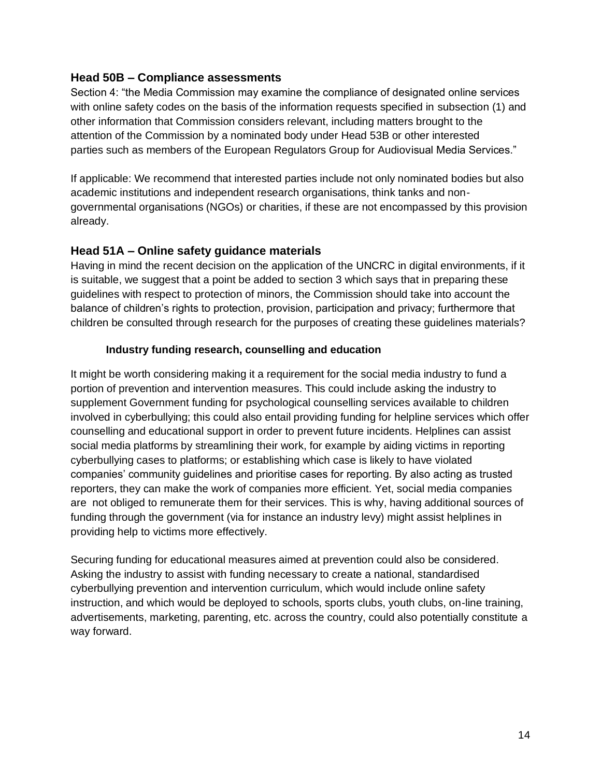#### <span id="page-13-0"></span>**Head 50B – Compliance assessments**

Section 4: "the Media Commission may examine the compliance of designated online services with online safety codes on the basis of the information requests specified in subsection (1) and other information that Commission considers relevant, including matters brought to the attention of the Commission by a nominated body under Head 53B or other interested parties such as members of the European Regulators Group for Audiovisual Media Services."

If applicable: We recommend that interested parties include not only nominated bodies but also academic institutions and independent research organisations, think tanks and nongovernmental organisations (NGOs) or charities, if these are not encompassed by this provision already.

### <span id="page-13-1"></span>**Head 51A – Online safety guidance materials**

Having in mind the recent decision on the application of the UNCRC in digital environments, if it is suitable, we suggest that a point be added to section 3 which says that in preparing these guidelines with respect to protection of minors, the Commission should take into account the balance of children's rights to protection, provision, participation and privacy; furthermore that children be consulted through research for the purposes of creating these guidelines materials?

#### **Industry funding research, counselling and education**

It might be worth considering making it a requirement for the social media industry to fund a portion of prevention and intervention measures. This could include asking the industry to supplement Government funding for psychological counselling services available to children involved in cyberbullying; this could also entail providing funding for helpline services which offer counselling and educational support in order to prevent future incidents. Helplines can assist social media platforms by streamlining their work, for example by aiding victims in reporting cyberbullying cases to platforms; or establishing which case is likely to have violated companies' community guidelines and prioritise cases for reporting. By also acting as trusted reporters, they can make the work of companies more efficient. Yet, social media companies are not obliged to remunerate them for their services. This is why, having additional sources of funding through the government (via for instance an industry levy) might assist helplines in providing help to victims more effectively.

Securing funding for educational measures aimed at prevention could also be considered. Asking the industry to assist with funding necessary to create a national, standardised cyberbullying prevention and intervention curriculum, which would include online safety instruction, and which would be deployed to schools, sports clubs, youth clubs, on-line training, advertisements, marketing, parenting, etc. across the country, could also potentially constitute a way forward.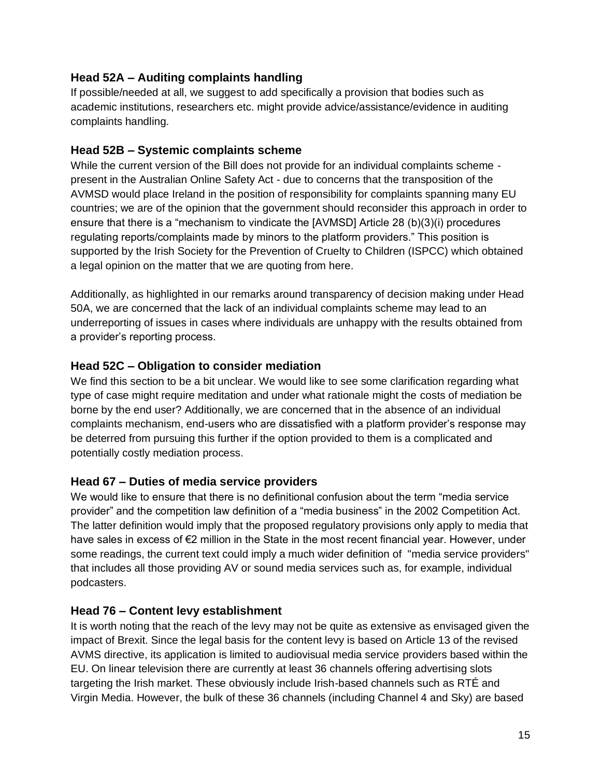## <span id="page-14-0"></span>**Head 52A – Auditing complaints handling**

If possible/needed at all, we suggest to add specifically a provision that bodies such as academic institutions, researchers etc. might provide advice/assistance/evidence in auditing complaints handling.

### <span id="page-14-1"></span>**Head 52B – Systemic complaints scheme**

While the current version of the Bill does not provide for an individual complaints scheme present in the Australian Online Safety Act - due to concerns that the transposition of the AVMSD would place Ireland in the position of responsibility for complaints spanning many EU countries; we are of the opinion that the government should reconsider this approach in order to ensure that there is a "mechanism to vindicate the [AVMSD] Article 28 (b)(3)(i) procedures regulating reports/complaints made by minors to the platform providers." This position is supported by the Irish Society for the Prevention of Cruelty to Children (ISPCC) which obtained a legal opinion on the matter that we are quoting from here.

Additionally, as highlighted in our remarks around transparency of decision making under Head 50A, we are concerned that the lack of an individual complaints scheme may lead to an underreporting of issues in cases where individuals are unhappy with the results obtained from a provider's reporting process.

## <span id="page-14-2"></span>**Head 52C – Obligation to consider mediation**

We find this section to be a bit unclear. We would like to see some clarification regarding what type of case might require meditation and under what rationale might the costs of mediation be borne by the end user? Additionally, we are concerned that in the absence of an individual complaints mechanism, end-users who are dissatisfied with a platform provider's response may be deterred from pursuing this further if the option provided to them is a complicated and potentially costly mediation process.

## <span id="page-14-3"></span>**Head 67 – Duties of media service providers**

We would like to ensure that there is no definitional confusion about the term "media service provider" and the competition law definition of a "media business" in the 2002 Competition Act. The latter definition would imply that the proposed regulatory provisions only apply to media that have sales in excess of €2 million in the State in the most recent financial year. However, under some readings, the current text could imply a much wider definition of "media service providers" that includes all those providing AV or sound media services such as, for example, individual podcasters.

## <span id="page-14-4"></span>**Head 76 – Content levy establishment**

It is worth noting that the reach of the levy may not be quite as extensive as envisaged given the impact of Brexit. Since the legal basis for the content levy is based on Article 13 of the revised AVMS directive, its application is limited to audiovisual media service providers based within the EU. On linear television there are currently at least 36 channels offering advertising slots targeting the Irish market. These obviously include Irish-based channels such as RTÉ and Virgin Media. However, the bulk of these 36 channels (including Channel 4 and Sky) are based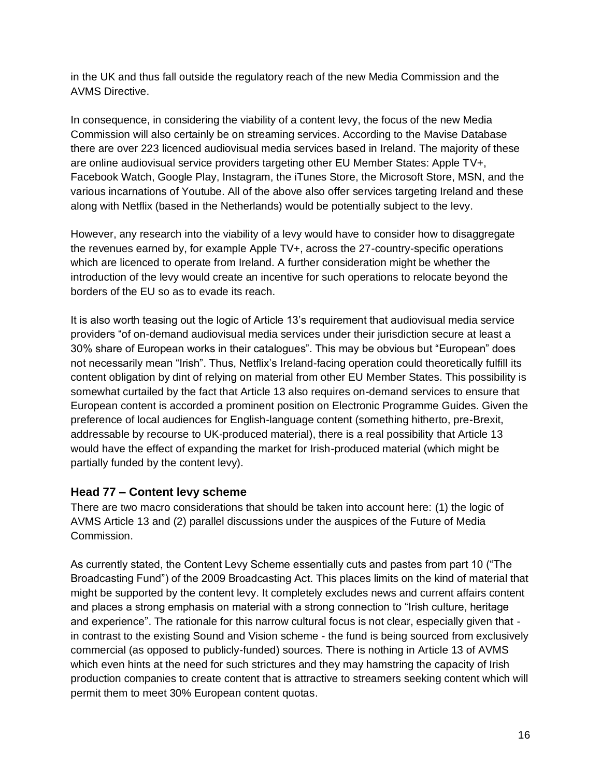in the UK and thus fall outside the regulatory reach of the new Media Commission and the AVMS Directive.

In consequence, in considering the viability of a content levy, the focus of the new Media Commission will also certainly be on streaming services. According to the Mavise Database there are over 223 licenced audiovisual media services based in Ireland. The majority of these are online audiovisual service providers targeting other EU Member States: Apple TV+, Facebook Watch, Google Play, Instagram, the iTunes Store, the Microsoft Store, MSN, and the various incarnations of Youtube. All of the above also offer services targeting Ireland and these along with Netflix (based in the Netherlands) would be potentially subject to the levy.

However, any research into the viability of a levy would have to consider how to disaggregate the revenues earned by, for example Apple TV+, across the 27-country-specific operations which are licenced to operate from Ireland. A further consideration might be whether the introduction of the levy would create an incentive for such operations to relocate beyond the borders of the EU so as to evade its reach.

It is also worth teasing out the logic of Article 13's requirement that audiovisual media service providers "of on-demand audiovisual media services under their jurisdiction secure at least a 30% share of European works in their catalogues". This may be obvious but "European" does not necessarily mean "Irish". Thus, Netflix's Ireland-facing operation could theoretically fulfill its content obligation by dint of relying on material from other EU Member States. This possibility is somewhat curtailed by the fact that Article 13 also requires on-demand services to ensure that European content is accorded a prominent position on Electronic Programme Guides. Given the preference of local audiences for English-language content (something hitherto, pre-Brexit, addressable by recourse to UK-produced material), there is a real possibility that Article 13 would have the effect of expanding the market for Irish-produced material (which might be partially funded by the content levy).

#### <span id="page-15-0"></span>**Head 77 – Content levy scheme**

There are two macro considerations that should be taken into account here: (1) the logic of AVMS Article 13 and (2) parallel discussions under the auspices of the Future of Media Commission.

As currently stated, the Content Levy Scheme essentially cuts and pastes from part 10 ("The Broadcasting Fund") of the 2009 Broadcasting Act. This places limits on the kind of material that might be supported by the content levy. It completely excludes news and current affairs content and places a strong emphasis on material with a strong connection to "Irish culture, heritage and experience". The rationale for this narrow cultural focus is not clear, especially given that in contrast to the existing Sound and Vision scheme - the fund is being sourced from exclusively commercial (as opposed to publicly-funded) sources. There is nothing in Article 13 of AVMS which even hints at the need for such strictures and they may hamstring the capacity of Irish production companies to create content that is attractive to streamers seeking content which will permit them to meet 30% European content quotas.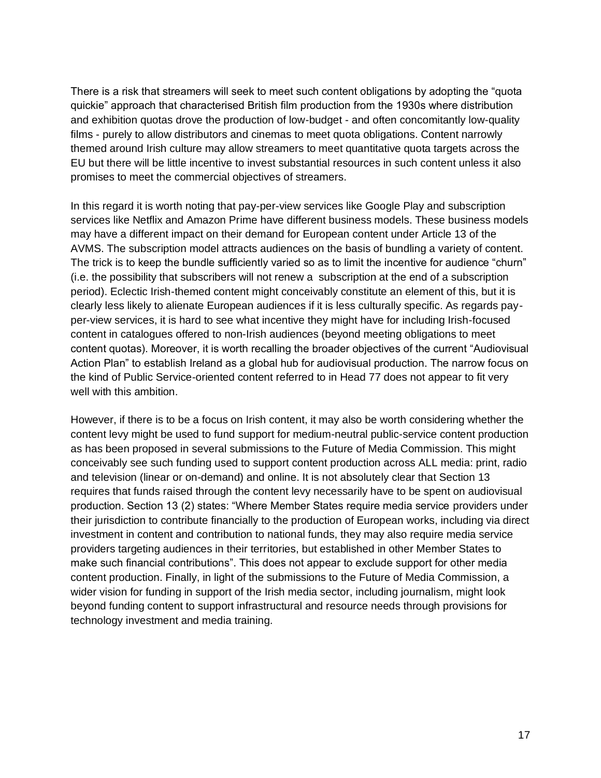There is a risk that streamers will seek to meet such content obligations by adopting the "quota quickie" approach that characterised British film production from the 1930s where distribution and exhibition quotas drove the production of low-budget - and often concomitantly low-quality films - purely to allow distributors and cinemas to meet quota obligations. Content narrowly themed around Irish culture may allow streamers to meet quantitative quota targets across the EU but there will be little incentive to invest substantial resources in such content unless it also promises to meet the commercial objectives of streamers.

In this regard it is worth noting that pay-per-view services like Google Play and subscription services like Netflix and Amazon Prime have different business models. These business models may have a different impact on their demand for European content under Article 13 of the AVMS. The subscription model attracts audiences on the basis of bundling a variety of content. The trick is to keep the bundle sufficiently varied so as to limit the incentive for audience "churn" (i.e. the possibility that subscribers will not renew a subscription at the end of a subscription period). Eclectic Irish-themed content might conceivably constitute an element of this, but it is clearly less likely to alienate European audiences if it is less culturally specific. As regards payper-view services, it is hard to see what incentive they might have for including Irish-focused content in catalogues offered to non-Irish audiences (beyond meeting obligations to meet content quotas). Moreover, it is worth recalling the broader objectives of the current "Audiovisual Action Plan" to establish Ireland as a global hub for audiovisual production. The narrow focus on the kind of Public Service-oriented content referred to in Head 77 does not appear to fit very well with this ambition.

However, if there is to be a focus on Irish content, it may also be worth considering whether the content levy might be used to fund support for medium-neutral public-service content production as has been proposed in several submissions to the Future of Media Commission. This might conceivably see such funding used to support content production across ALL media: print, radio and television (linear or on-demand) and online. It is not absolutely clear that Section 13 requires that funds raised through the content levy necessarily have to be spent on audiovisual production. Section 13 (2) states: "Where Member States require media service providers under their jurisdiction to contribute financially to the production of European works, including via direct investment in content and contribution to national funds, they may also require media service providers targeting audiences in their territories, but established in other Member States to make such financial contributions". This does not appear to exclude support for other media content production. Finally, in light of the submissions to the Future of Media Commission, a wider vision for funding in support of the Irish media sector, including journalism, might look beyond funding content to support infrastructural and resource needs through provisions for technology investment and media training.